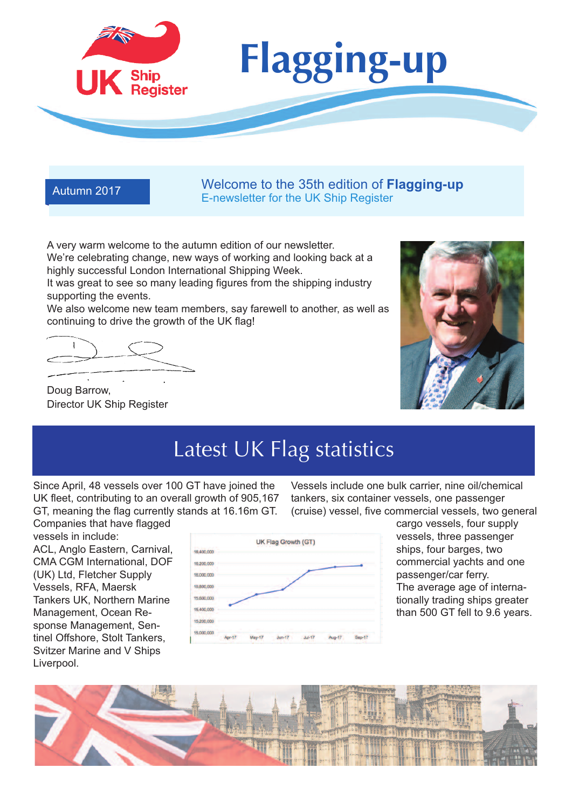

Autumn <sup>2017</sup> Welcome to the 35th edition of **Flagging-up** E-newsletter for the UK Ship Register

A very warm welcome to the autumn edition of our newsletter. We're celebrating change, new ways of working and looking back at a highly successful London International Shipping Week.

It was great to see so many leading figures from the shipping industry supporting the events.

We also welcome new team members, say farewell to another, as well as continuing to drive the growth of the UK flag!

Doug Barrow, Director UK Ship Register



# Latest UK Flag statistics

Since April, 48 vessels over 100 GT have joined the UK fleet, contributing to an overall growth of 905,167 GT, meaning the flag currently stands at 16.16m GT. Companies that have flagged

vessels in include: ACL, Anglo Eastern, Carnival, CMA CGM International, DOF (UK) Ltd, Fletcher Supply Vessels, RFA, Maersk Tankers UK, Northern Marine Management, Ocean Response Management, Sentinel Offshore, Stolt Tankers, Svitzer Marine and V Ships Liverpool.



Vessels include one bulk carrier, nine oil/chemical tankers, six container vessels, one passenger (cruise) vessel, five commercial vessels, two general

> cargo vessels, four supply vessels, three passenger ships, four barges, two commercial yachts and one passenger/car ferry. The average age of internationally trading ships greater than 500 GT fell to 9.6 years.

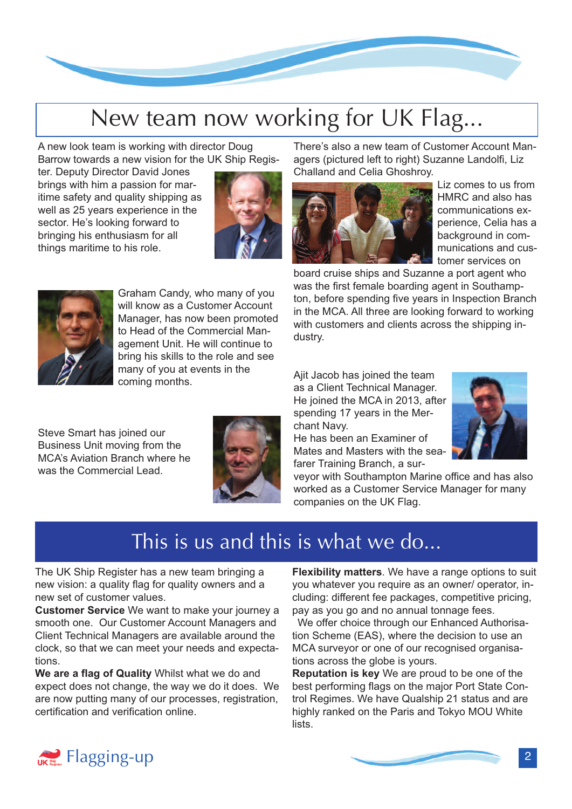

# New team now working for UK Flag...

A new look team is working with director Doug Barrow towards a new vision for the UK Ship Regis-

> Graham Candy, who many of you will know as a Customer Account Manager, has now been promoted to Head of the Commercial Management Unit. He will continue to bring his skills to the role and see many of you at events in the

ter. Deputy Director David Jones brings with him a passion for maritime safety and quality shipping as well as 25 years experience in the sector. He's looking forward to bringing his enthusiasm for all things maritime to his role.

Steve Smart has joined our Business Unit moving from the MCA's Aviation Branch where he was the Commercial Lead.



There's also a new team of Customer Account Managers (pictured left to right) Suzanne Landolfi, Liz Challand and Celia Ghoshroy.



Liz comes to us from HMRC and also has communications experience, Celia has a background in communications and customer services on

board cruise ships and Suzanne a port agent who was the first female boarding agent in Southampton, before spending five years in Inspection Branch in the MCA. All three are looking forward to working with customers and clients across the shipping industry.

Ajit Jacob has joined the team as a Client Technical Manager. He joined the MCA in 2013, after spending 17 years in the Merchant Navy.

He has been an Examiner of Mates and Masters with the seafarer Training Branch, a sur-



veyor with Southampton Marine office and has also worked as a Customer Service Manager for many companies on the UK Flag.

### This is us and this is what we do...

The UK Ship Register has a new team bringing a new vision: a quality flag for quality owners and a new set of customer values.

coming months.

**Customer Service** We want to make your journey a smooth one. Our Customer Account Managers and Client Technical Managers are available around the clock, so that we can meet your needs and expectations.

**We are a flag of Quality** Whilst what we do and expect does not change, the way we do it does. We are now putting many of our processes, registration, certification and verification online.

**Flexibility matters**. We have a range options to suit you whatever you require as an owner/ operator, including: different fee packages, competitive pricing, pay as you go and no annual tonnage fees.

We offer choice through our Enhanced Authorisation Scheme (EAS), where the decision to use an MCA surveyor or one of our recognised organisations across the globe is yours.

**Reputation is key** We are proud to be one of the best performing flags on the major Port State Control Regimes. We have Qualship 21 status and are highly ranked on the Paris and Tokyo MOU White lists.



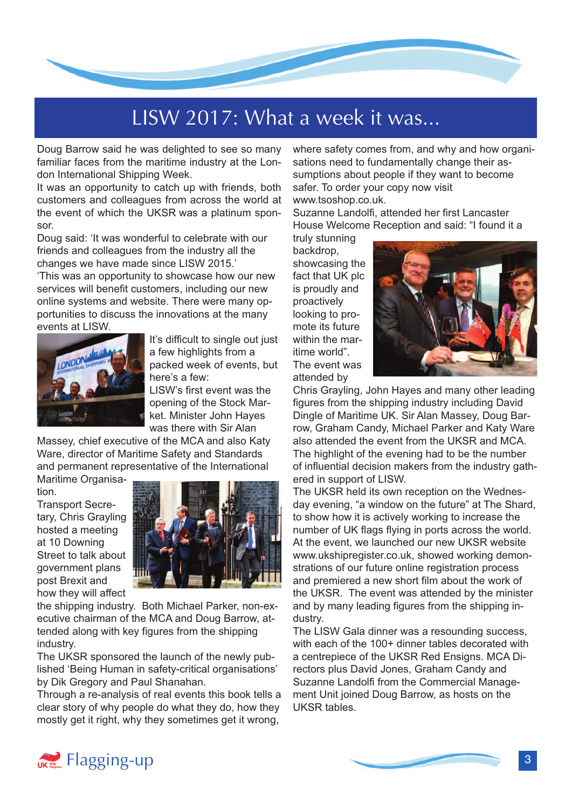

# LISW 2017: What a week it was...

Doug Barrow said he was delighted to see so many familiar faces from the maritime industry at the London International Shipping Week.

It was an opportunity to catch up with friends, both customers and colleagues from across the world at the event of which the UKSR was a platinum sponsor.

Doug said: 'It was wonderful to celebrate with our friends and colleagues from the industry all the changes we have made since LISW 2015.'

'This was an opportunity to showcase how our new services will benefit customers, including our new online systems and website. There were many opportunities to discuss the innovations at the many events at LISW.



It's difficult to single out just a few highlights from a packed week of events, but here's a few:

LISW's first event was the opening of the Stock Market. Minister John Hayes was there with Sir Alan

Massey, chief executive of the MCA and also Katy Ware, director of Maritime Safety and Standards and permanent representative of the International

Maritime Organisation.

Transport Secretary, Chris Grayling hosted a meeting at 10 Downing Street to talk about government plans post Brexit and how they will affect



the shipping industry. Both Michael Parker, non-executive chairman of the MCA and Doug Barrow, attended along with key figures from the shipping industry.

The UKSR sponsored the launch of the newly published 'Being Human in safety-critical organisations' by Dik Gregory and Paul Shanahan.

Through a re-analysis of real events this book tells a clear story of why people do what they do, how they mostly get it right, why they sometimes get it wrong,

where safety comes from, and why and how organisations need to fundamentally change their assumptions about people if they want to become safer. To order your copy now visit www.tsoshop.co.uk.

Suzanne Landolfi, attended her first Lancaster House Welcome Reception and said: "I found it a

truly stunning backdrop, showcasing the fact that UK plc is proudly and proactively looking to promote its future within the maritime world". The event was attended by



Chris Grayling, John Hayes and many other leading figures from the shipping industry including David Dingle of Maritime UK. Sir Alan Massey, Doug Barrow, Graham Candy, Michael Parker and Katy Ware also attended the event from the UKSR and MCA. The highlight of the evening had to be the number of influential decision makers from the industry gathered in support of LISW.

The UKSR held its own reception on the Wednesday evening, "a window on the future" at The Shard, to show how it is actively working to increase the number of UK flags flying in ports across the world. At the event, we launched our new UKSR website [www.ukshipregister.co.uk,](www.ukshipregister.co.uk) showed working demonstrations of our future online registration process and premiered a new short film about the work of the UKSR. The event was attended by the minister and by many leading figures from the shipping industry.

The LISW Gala dinner was a resounding success, with each of the 100+ dinner tables decorated with a centrepiece of the UKSR Red Ensigns. MCA Directors plus David Jones, Graham Candy and Suzanne Landolfi from the Commercial Management Unit joined Doug Barrow, as hosts on the UKSR tables.

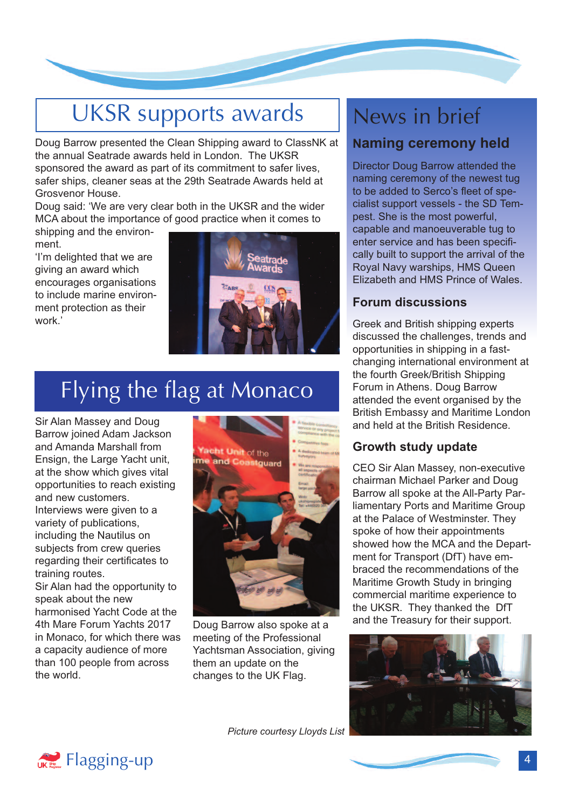# UKSR supports awards

Doug Barrow presented the Clean Shipping award to ClassNK at the annual Seatrade awards held in London. The UKSR sponsored the award as part of its commitment to safer lives, safer ships, cleaner seas at the 29th Seatrade Awards held at Grosvenor House.

Doug said: 'We are very clear both in the UKSR and the wider MCA about the importance of good practice when it comes to

shipping and the environment.

'I'm delighted that we are giving an award which encourages organisations to include marine environment protection as their work.'



# Flying the flag at Monaco

Sir Alan Massey and Doug Barrow joined Adam Jackson and Amanda Marshall from Ensign, the Large Yacht unit, at the show which gives vital opportunities to reach existing and new customers. Interviews were given to a variety of publications, including the Nautilus on subjects from crew queries regarding their certificates to training routes.

Sir Alan had the opportunity to speak about the new harmonised Yacht Code at the 4th Mare Forum Yachts 2017 in Monaco, for which there was a capacity audience of more than 100 people from across the world.



Doug Barrow also spoke at a meeting of the Professional Yachtsman Association, giving them an update on the changes to the UK Flag.

## News in brief

#### **Naming ceremony held**

Director Doug Barrow attended the naming ceremony of the newest tug to be added to Serco's fleet of specialist support vessels - the SD Tempest. She is the most powerful, capable and manoeuverable tug to enter service and has been specifically built to support the arrival of the Royal Navy warships, HMS Queen Elizabeth and HMS Prince of Wales.

#### **Forum discussions**

Greek and British shipping experts discussed the challenges, trends and opportunities in shipping in a fastchanging international environment at the fourth Greek/British Shipping Forum in Athens. Doug Barrow attended the event organised by the British Embassy and Maritime London and held at the British Residence.

#### **Growth study update**

CEO Sir Alan Massey, non-executive chairman Michael Parker and Doug Barrow all spoke at the All-Party Parliamentary Ports and Maritime Group at the Palace of Westminster. They spoke of how their appointments showed how the MCA and the Department for Transport (DfT) have embraced the recommendations of the Maritime Growth Study in bringing commercial maritime experience to the UKSR. They thanked the DfT and the Treasury for their support.



*Picture courtesy Lloyds List*

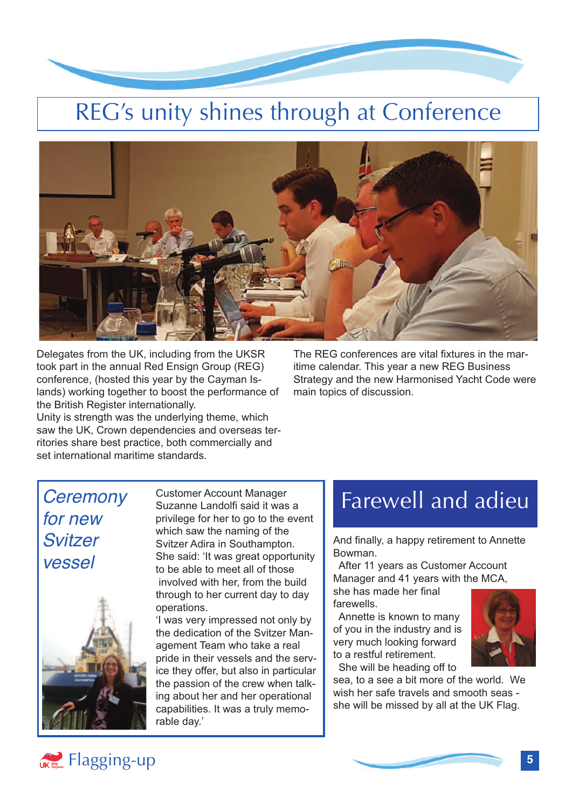

# REG's unity shines through at Conference



Delegates from the UK, including from the UKSR took part in the annual Red Ensign Group (REG) conference, (hosted this year by the Cayman Islands) working together to boost the performance of the British Register internationally.

Unity is strength was the underlying theme, which saw the UK, Crown dependencies and overseas territories share best practice, both commercially and set international maritime standards.

The REG conferences are vital fixtures in the maritime calendar. This year a new REG Business Strategy and the new Harmonised Yacht Code were main topics of discussion.

### *Ceremony for new Svitzer vessel*



Customer Account Manager Suzanne Landolfi said it was a privilege for her to go to the event which saw the naming of the Svitzer Adira in Southampton. She said: 'It was great opportunity to be able to meet all of those involved with her, from the build through to her current day to day operations.

'I was very impressed not only by the dedication of the Svitzer Management Team who take a real pride in their vessels and the service they offer, but also in particular the passion of the crew when talking about her and her operational capabilities. It was a truly memorable day.'

### Farewell and adieu

And finally, a happy retirement to Annette Bowman.

After 11 years as Customer Account Manager and 41 years with the MCA,

she has made her final farewells.

Annette is known to many of you in the industry and is very much looking forward to a restful retirement. She will be heading off to



sea, to a see a bit more of the world. We wish her safe travels and smooth seas she will be missed by all at the UK Flag.